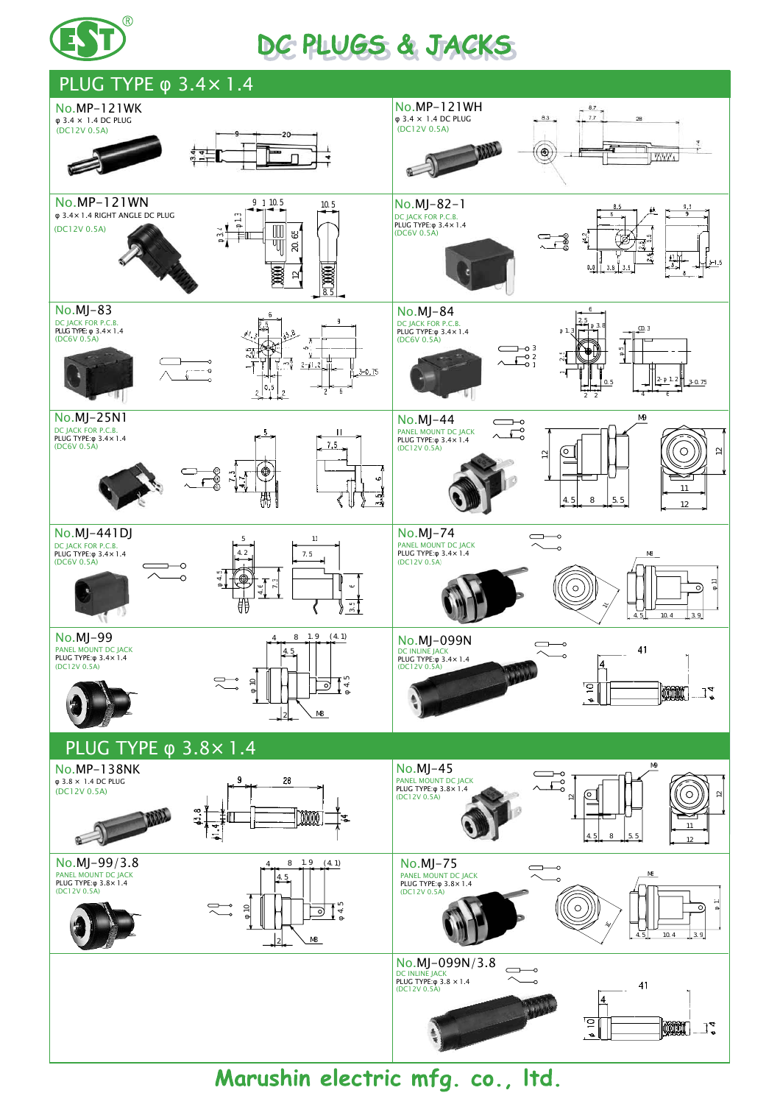

## DE PLUGS & JACKS



Marushin electric mfg. co., Itd.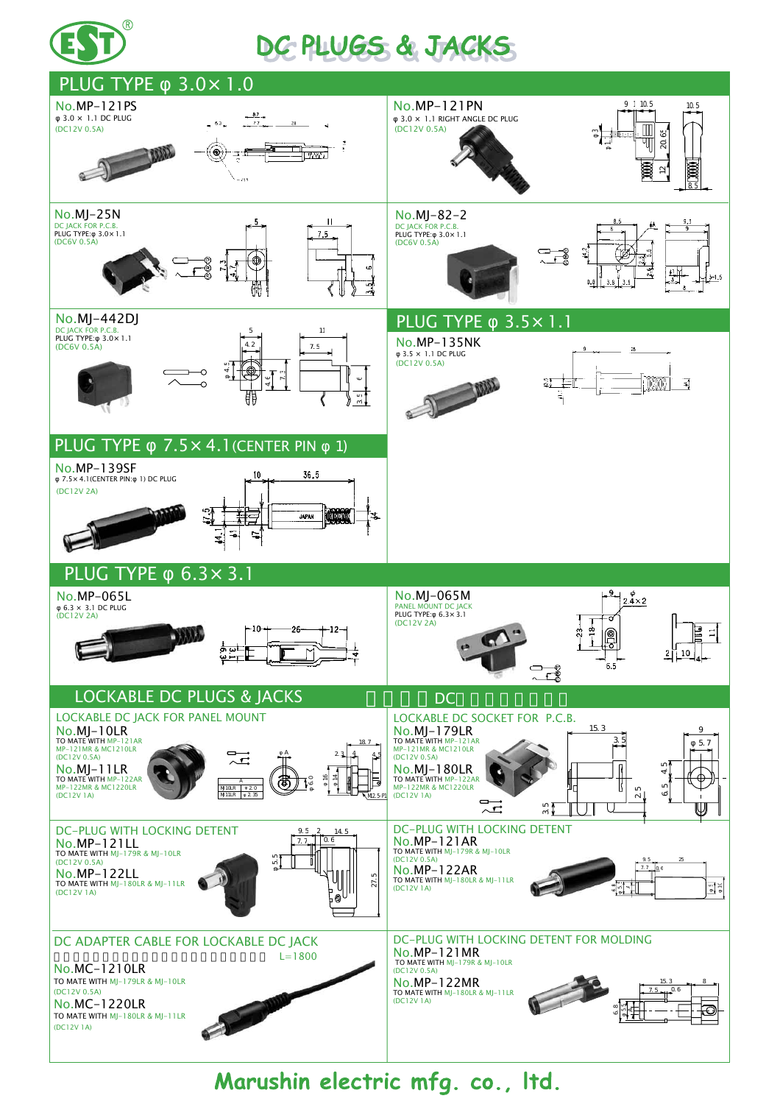

## DC PLUGS & JACKS



Marushin electric mfg. co., Itd.